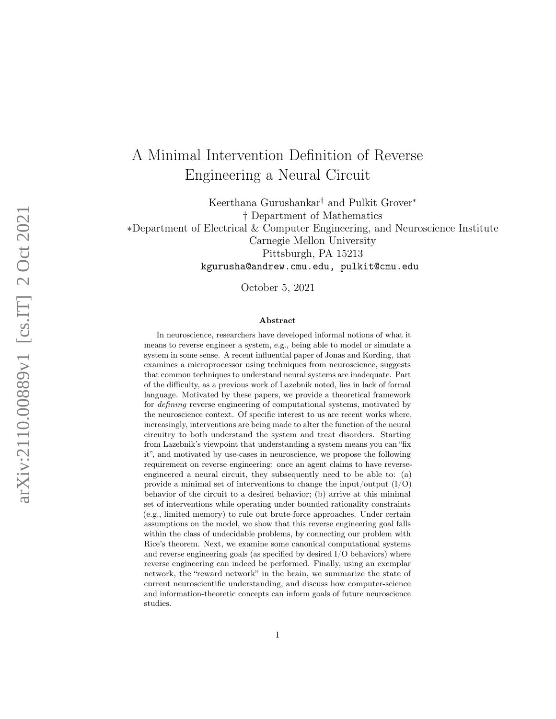# A Minimal Intervention Definition of Reverse Engineering a Neural Circuit

Keerthana Gurushankar † and Pulkit Grover ∗ † Department of Mathematics ∗Department of Electrical & Computer Engineering, and Neuroscience Institute Carnegie Mellon University Pittsburgh, PA 15213 kgurusha@andrew.cmu.edu, pulkit@cmu.edu

October 5, 2021

#### Abstract

In neuroscience, researchers have developed informal notions of what it means to reverse engineer a system, e.g., being able to model or simulate a system in some sense. A recent influential paper of Jonas and Kording, that examines a microprocessor using techniques from neuroscience, suggests that common techniques to understand neural systems are inadequate. Part of the difficulty, as a previous work of Lazebnik noted, lies in lack of formal language. Motivated by these papers, we provide a theoretical framework for defining reverse engineering of computational systems, motivated by the neuroscience context. Of specific interest to us are recent works where, increasingly, interventions are being made to alter the function of the neural circuitry to both understand the system and treat disorders. Starting from Lazebnik's viewpoint that understanding a system means you can "fix it", and motivated by use-cases in neuroscience, we propose the following requirement on reverse engineering: once an agent claims to have reverseengineered a neural circuit, they subsequently need to be able to: (a) provide a minimal set of interventions to change the input/output  $(I/O)$ behavior of the circuit to a desired behavior; (b) arrive at this minimal set of interventions while operating under bounded rationality constraints (e.g., limited memory) to rule out brute-force approaches. Under certain assumptions on the model, we show that this reverse engineering goal falls within the class of undecidable problems, by connecting our problem with Rice's theorem. Next, we examine some canonical computational systems and reverse engineering goals (as specified by desired I/O behaviors) where reverse engineering can indeed be performed. Finally, using an exemplar network, the "reward network" in the brain, we summarize the state of current neuroscientific understanding, and discuss how computer-science and information-theoretic concepts can inform goals of future neuroscience studies.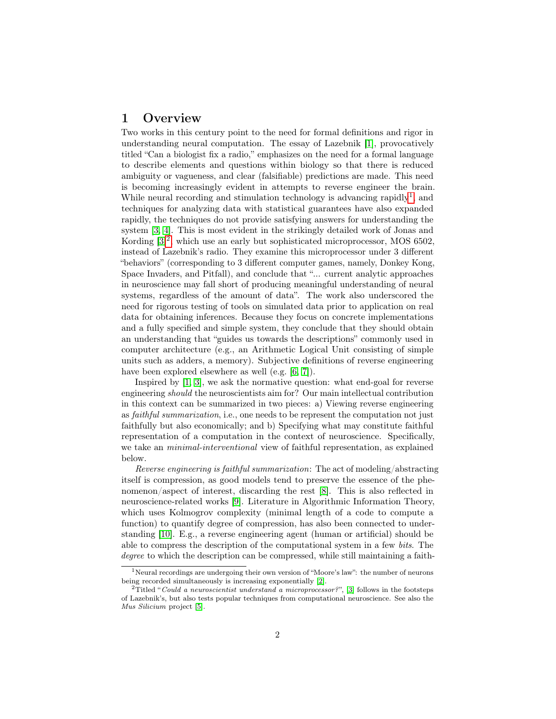### <span id="page-1-2"></span>1 Overview

Two works in this century point to the need for formal definitions and rigor in understanding neural computation. The essay of Lazebnik [\[1\]](#page-17-0), provocatively titled "Can a biologist fix a radio," emphasizes on the need for a formal language to describe elements and questions within biology so that there is reduced ambiguity or vagueness, and clear (falsifiable) predictions are made. This need is becoming increasingly evident in attempts to reverse engineer the brain. While neural recording and stimulation technology is advancing rapidly<sup>[1](#page-1-0)</sup>, and techniques for analyzing data with statistical guarantees have also expanded rapidly, the techniques do not provide satisfying answers for understanding the system [\[3,](#page-17-1) [4\]](#page-17-2). This is most evident in the strikingly detailed work of Jonas and Kording [\[3\]](#page-17-1) [2](#page-1-1) , which use an early but sophisticated microprocessor, MOS 6502, instead of Lazebnik's radio. They examine this microprocessor under 3 different "behaviors" (corresponding to 3 different computer games, namely, Donkey Kong, Space Invaders, and Pitfall), and conclude that "... current analytic approaches in neuroscience may fall short of producing meaningful understanding of neural systems, regardless of the amount of data". The work also underscored the need for rigorous testing of tools on simulated data prior to application on real data for obtaining inferences. Because they focus on concrete implementations and a fully specified and simple system, they conclude that they should obtain an understanding that "guides us towards the descriptions" commonly used in computer architecture (e.g., an Arithmetic Logical Unit consisting of simple units such as adders, a memory). Subjective definitions of reverse engineering have been explored elsewhere as well (e.g. [\[6,](#page-17-3) [7\]](#page-17-4)).

Inspired by [\[1,](#page-17-0) [3\]](#page-17-1), we ask the normative question: what end-goal for reverse engineering should the neuroscientists aim for? Our main intellectual contribution in this context can be summarized in two pieces: a) Viewing reverse engineering as faithful summarization, i.e., one needs to be represent the computation not just faithfully but also economically; and b) Specifying what may constitute faithful representation of a computation in the context of neuroscience. Specifically, we take an *minimal-interventional* view of faithful representation, as explained below.

Reverse engineering is faithful summarization: The act of modeling/abstracting itself is compression, as good models tend to preserve the essence of the phenomenon/aspect of interest, discarding the rest [\[8\]](#page-17-5). This is also reflected in neuroscience-related works [\[9\]](#page-17-6). Literature in Algorithmic Information Theory, which uses Kolmogrov complexity (minimal length of a code to compute a function) to quantify degree of compression, has also been connected to understanding [\[10\]](#page-17-7). E.g., a reverse engineering agent (human or artificial) should be able to compress the description of the computational system in a few bits. The degree to which the description can be compressed, while still maintaining a faith-

<span id="page-1-0"></span><sup>1</sup>Neural recordings are undergoing their own version of "Moore's law": the number of neurons being recorded simultaneously is increasing exponentially [\[2\]](#page-17-8).

<span id="page-1-1"></span><sup>&</sup>lt;sup>2</sup>Titled "Could a neuroscientist understand a microprocessor?", [\[3\]](#page-17-1) follows in the footsteps of Lazebnik's, but also tests popular techniques from computational neuroscience. See also the Mus Silicium project [\[5\]](#page-17-9).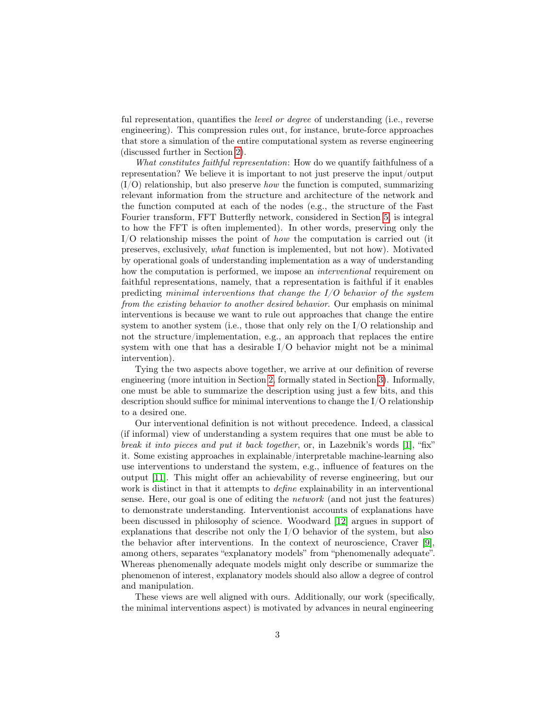ful representation, quantifies the *level or degree* of understanding (i.e., reverse engineering). This compression rules out, for instance, brute-force approaches that store a simulation of the entire computational system as reverse engineering (discussed further in Section [2\)](#page-4-0).

What constitutes faithful representation: How do we quantify faithfulness of a representation? We believe it is important to not just preserve the input/output  $(I/O)$  relationship, but also preserve *how* the function is computed, summarizing relevant information from the structure and architecture of the network and the function computed at each of the nodes (e.g., the structure of the Fast Fourier transform, FFT Butterfly network, considered in Section [5,](#page-10-0) is integral to how the FFT is often implemented). In other words, preserving only the I/O relationship misses the point of how the computation is carried out (it preserves, exclusively, what function is implemented, but not how). Motivated by operational goals of understanding implementation as a way of understanding how the computation is performed, we impose an interventional requirement on faithful representations, namely, that a representation is faithful if it enables predicting minimal interventions that change the  $I/O$  behavior of the system from the existing behavior to another desired behavior. Our emphasis on minimal interventions is because we want to rule out approaches that change the entire system to another system (i.e., those that only rely on the I/O relationship and not the structure/implementation, e.g., an approach that replaces the entire system with one that has a desirable I/O behavior might not be a minimal intervention).

Tying the two aspects above together, we arrive at our definition of reverse engineering (more intuition in Section [2,](#page-4-0) formally stated in Section [3\)](#page-5-0). Informally, one must be able to summarize the description using just a few bits, and this description should suffice for minimal interventions to change the I/O relationship to a desired one.

Our interventional definition is not without precedence. Indeed, a classical (if informal) view of understanding a system requires that one must be able to break it into pieces and put it back together, or, in Lazebnik's words [\[1\]](#page-17-0), "fix" it. Some existing approaches in explainable/interpretable machine-learning also use interventions to understand the system, e.g., influence of features on the output [\[11\]](#page-17-10). This might offer an achievability of reverse engineering, but our work is distinct in that it attempts to *define* explainability in an interventional sense. Here, our goal is one of editing the *network* (and not just the features) to demonstrate understanding. Interventionist accounts of explanations have been discussed in philosophy of science. Woodward [\[12\]](#page-17-11) argues in support of explanations that describe not only the  $I/O$  behavior of the system, but also the behavior after interventions. In the context of neuroscience, Craver [\[9\]](#page-17-6), among others, separates "explanatory models" from "phenomenally adequate". Whereas phenomenally adequate models might only describe or summarize the phenomenon of interest, explanatory models should also allow a degree of control and manipulation.

These views are well aligned with ours. Additionally, our work (specifically, the minimal interventions aspect) is motivated by advances in neural engineering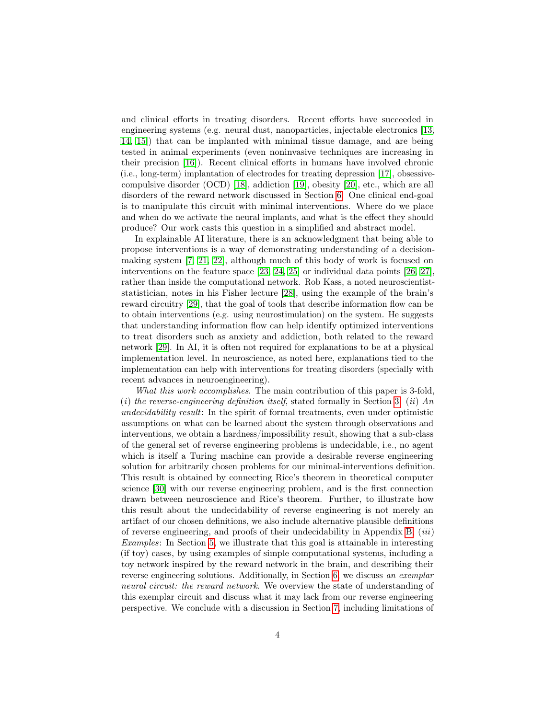and clinical efforts in treating disorders. Recent efforts have succeeded in engineering systems (e.g. neural dust, nanoparticles, injectable electronics [\[13,](#page-17-12) [14,](#page-18-0) [15\]](#page-18-1)) that can be implanted with minimal tissue damage, and are being tested in animal experiments (even noninvasive techniques are increasing in their precision [\[16\]](#page-18-2)). Recent clinical efforts in humans have involved chronic (i.e., long-term) implantation of electrodes for treating depression [\[17\]](#page-18-3), obsessivecompulsive disorder (OCD) [\[18\]](#page-18-4), addiction [\[19\]](#page-18-5), obesity [\[20\]](#page-18-6), etc., which are all disorders of the reward network discussed in Section [6.](#page-12-0) One clinical end-goal is to manipulate this circuit with minimal interventions. Where do we place and when do we activate the neural implants, and what is the effect they should produce? Our work casts this question in a simplified and abstract model.

In explainable AI literature, there is an acknowledgment that being able to propose interventions is a way of demonstrating understanding of a decisionmaking system [\[7,](#page-17-4) [21,](#page-18-7) [22\]](#page-18-8), although much of this body of work is focused on interventions on the feature space [\[23,](#page-18-9) [24,](#page-18-10) [25\]](#page-19-0) or individual data points [\[26,](#page-19-1) [27\]](#page-19-2), rather than inside the computational network. Rob Kass, a noted neuroscientiststatistician, notes in his Fisher lecture [\[28\]](#page-19-3), using the example of the brain's reward circuitry [\[29\]](#page-19-4), that the goal of tools that describe information flow can be to obtain interventions (e.g. using neurostimulation) on the system. He suggests that understanding information flow can help identify optimized interventions to treat disorders such as anxiety and addiction, both related to the reward network [\[29\]](#page-19-4). In AI, it is often not required for explanations to be at a physical implementation level. In neuroscience, as noted here, explanations tied to the implementation can help with interventions for treating disorders (specially with recent advances in neuroengineering).

What this work accomplishes. The main contribution of this paper is 3-fold, (i) the reverse-engineering definition itself, stated formally in Section [3.](#page-5-0) (ii) An undecidability result: In the spirit of formal treatments, even under optimistic assumptions on what can be learned about the system through observations and interventions, we obtain a hardness/impossibility result, showing that a sub-class of the general set of reverse engineering problems is undecidable, i.e., no agent which is itself a Turing machine can provide a desirable reverse engineering solution for arbitrarily chosen problems for our minimal-interventions definition. This result is obtained by connecting Rice's theorem in theoretical computer science [\[30\]](#page-19-5) with our reverse engineering problem, and is the first connection drawn between neuroscience and Rice's theorem. Further, to illustrate how this result about the undecidability of reverse engineering is not merely an artifact of our chosen definitions, we also include alternative plausible definitions of reverse engineering, and proofs of their undecidability in Appendix [B;](#page-23-0) *(iii)* Examples: In Section [5,](#page-10-0) we illustrate that this goal is attainable in interesting (if toy) cases, by using examples of simple computational systems, including a toy network inspired by the reward network in the brain, and describing their reverse engineering solutions. Additionally, in Section [6,](#page-12-0) we discuss an exemplar neural circuit: the reward network. We overview the state of understanding of this exemplar circuit and discuss what it may lack from our reverse engineering perspective. We conclude with a discussion in Section [7,](#page-14-0) including limitations of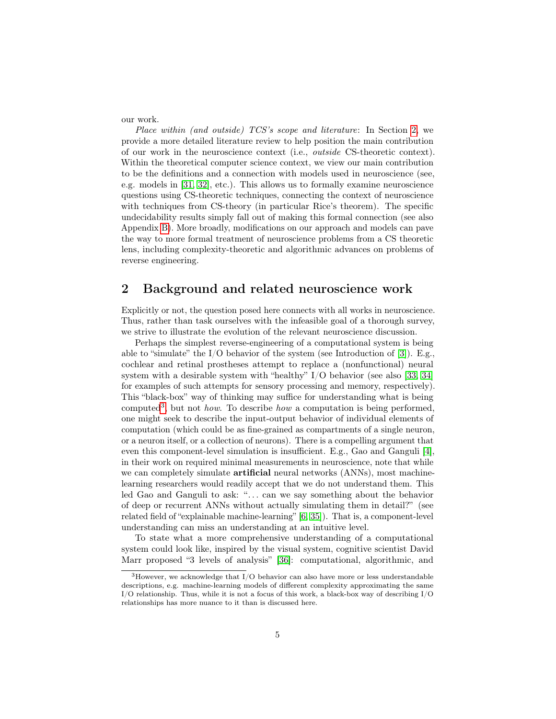our work.

Place within (and outside) TCS's scope and literature: In Section [2,](#page-4-0) we provide a more detailed literature review to help position the main contribution of our work in the neuroscience context (i.e., outside CS-theoretic context). Within the theoretical computer science context, we view our main contribution to be the definitions and a connection with models used in neuroscience (see, e.g. models in [\[31,](#page-19-6) [32\]](#page-19-7), etc.). This allows us to formally examine neuroscience questions using CS-theoretic techniques, connecting the context of neuroscience with techniques from CS-theory (in particular Rice's theorem). The specific undecidability results simply fall out of making this formal connection (see also Appendix [B\)](#page-23-0). More broadly, modifications on our approach and models can pave the way to more formal treatment of neuroscience problems from a CS theoretic lens, including complexity-theoretic and algorithmic advances on problems of reverse engineering.

### <span id="page-4-0"></span>2 Background and related neuroscience work

Explicitly or not, the question posed here connects with all works in neuroscience. Thus, rather than task ourselves with the infeasible goal of a thorough survey, we strive to illustrate the evolution of the relevant neuroscience discussion.

Perhaps the simplest reverse-engineering of a computational system is being able to "simulate" the  $I/O$  behavior of the system (see Introduction of [\[3\]](#page-17-1)). E.g., cochlear and retinal prostheses attempt to replace a (nonfunctional) neural system with a desirable system with "healthy" I/O behavior (see also [\[33,](#page-19-8) [34\]](#page-19-9) for examples of such attempts for sensory processing and memory, respectively). This "black-box" way of thinking may suffice for understanding what is being computed<sup>[3](#page-4-1)</sup>, but not *how*. To describe *how* a computation is being performed, one might seek to describe the input-output behavior of individual elements of computation (which could be as fine-grained as compartments of a single neuron, or a neuron itself, or a collection of neurons). There is a compelling argument that even this component-level simulation is insufficient. E.g., Gao and Ganguli [\[4\]](#page-17-2), in their work on required minimal measurements in neuroscience, note that while we can completely simulate **artificial** neural networks (ANNs), most machinelearning researchers would readily accept that we do not understand them. This led Gao and Ganguli to ask: "... can we say something about the behavior of deep or recurrent ANNs without actually simulating them in detail?" (see related field of "explainable machine-learning" [\[6,](#page-17-3) [35\]](#page-19-10)). That is, a component-level understanding can miss an understanding at an intuitive level.

To state what a more comprehensive understanding of a computational system could look like, inspired by the visual system, cognitive scientist David Marr proposed "3 levels of analysis" [\[36\]](#page-19-11): computational, algorithmic, and

<span id="page-4-1"></span> $3$ However, we acknowledge that I/O behavior can also have more or less understandable descriptions, e.g. machine-learning models of different complexity approximating the same I/O relationship. Thus, while it is not a focus of this work, a black-box way of describing I/O relationships has more nuance to it than is discussed here.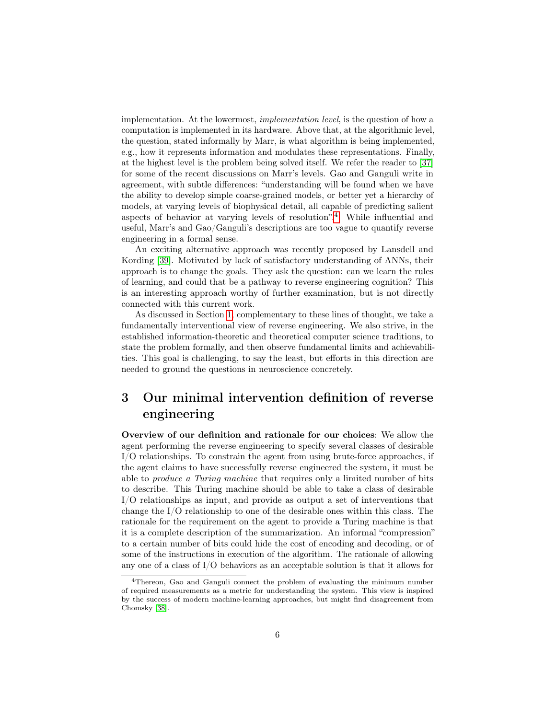implementation. At the lowermost, implementation level, is the question of how a computation is implemented in its hardware. Above that, at the algorithmic level, the question, stated informally by Marr, is what algorithm is being implemented, e.g., how it represents information and modulates these representations. Finally, at the highest level is the problem being solved itself. We refer the reader to [\[37\]](#page-19-12) for some of the recent discussions on Marr's levels. Gao and Ganguli write in agreement, with subtle differences: "understanding will be found when we have the ability to develop simple coarse-grained models, or better yet a hierarchy of models, at varying levels of biophysical detail, all capable of predicting salient aspects of behavior at varying levels of resolution".[4](#page-5-1) While influential and useful, Marr's and Gao/Ganguli's descriptions are too vague to quantify reverse engineering in a formal sense.

An exciting alternative approach was recently proposed by Lansdell and Kording [\[39\]](#page-20-0). Motivated by lack of satisfactory understanding of ANNs, their approach is to change the goals. They ask the question: can we learn the rules of learning, and could that be a pathway to reverse engineering cognition? This is an interesting approach worthy of further examination, but is not directly connected with this current work.

As discussed in Section [1,](#page-1-2) complementary to these lines of thought, we take a fundamentally interventional view of reverse engineering. We also strive, in the established information-theoretic and theoretical computer science traditions, to state the problem formally, and then observe fundamental limits and achievabilities. This goal is challenging, to say the least, but efforts in this direction are needed to ground the questions in neuroscience concretely.

### <span id="page-5-0"></span>3 Our minimal intervention definition of reverse engineering

Overview of our definition and rationale for our choices: We allow the agent performing the reverse engineering to specify several classes of desirable I/O relationships. To constrain the agent from using brute-force approaches, if the agent claims to have successfully reverse engineered the system, it must be able to produce a Turing machine that requires only a limited number of bits to describe. This Turing machine should be able to take a class of desirable I/O relationships as input, and provide as output a set of interventions that change the I/O relationship to one of the desirable ones within this class. The rationale for the requirement on the agent to provide a Turing machine is that it is a complete description of the summarization. An informal "compression" to a certain number of bits could hide the cost of encoding and decoding, or of some of the instructions in execution of the algorithm. The rationale of allowing any one of a class of I/O behaviors as an acceptable solution is that it allows for

<span id="page-5-1"></span><sup>4</sup>Thereon, Gao and Ganguli connect the problem of evaluating the minimum number of required measurements as a metric for understanding the system. This view is inspired by the success of modern machine-learning approaches, but might find disagreement from Chomsky [\[38\]](#page-20-1).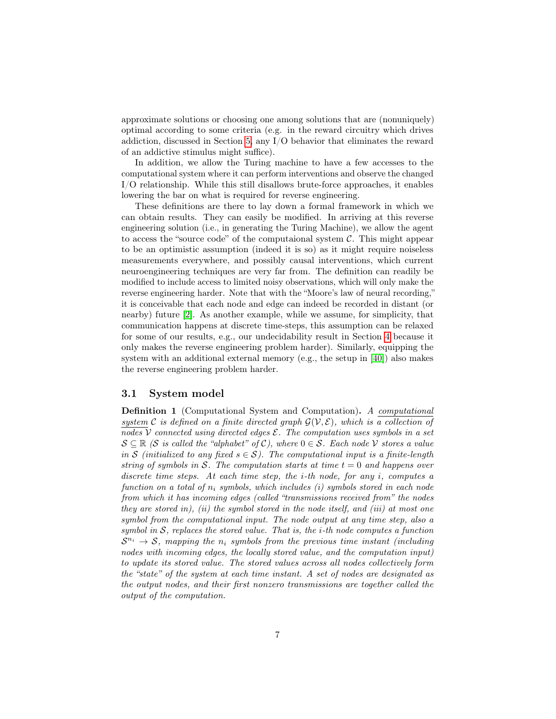approximate solutions or choosing one among solutions that are (nonuniquely) optimal according to some criteria (e.g. in the reward circuitry which drives addiction, discussed in Section [5,](#page-10-0) any I/O behavior that eliminates the reward of an addictive stimulus might suffice).

In addition, we allow the Turing machine to have a few accesses to the computational system where it can perform interventions and observe the changed I/O relationship. While this still disallows brute-force approaches, it enables lowering the bar on what is required for reverse engineering.

These definitions are there to lay down a formal framework in which we can obtain results. They can easily be modified. In arriving at this reverse engineering solution (i.e., in generating the Turing Machine), we allow the agent to access the "source code" of the computaional system  $C$ . This might appear to be an optimistic assumption (indeed it is so) as it might require noiseless measurements everywhere, and possibly causal interventions, which current neuroengineering techniques are very far from. The definition can readily be modified to include access to limited noisy observations, which will only make the reverse engineering harder. Note that with the "Moore's law of neural recording," it is conceivable that each node and edge can indeed be recorded in distant (or nearby) future [\[2\]](#page-17-8). As another example, while we assume, for simplicity, that communication happens at discrete time-steps, this assumption can be relaxed for some of our results, e.g., our undecidability result in Section [4](#page-8-0) because it only makes the reverse engineering problem harder). Similarly, equipping the system with an additional external memory (e.g., the setup in [\[40\]](#page-20-2)) also makes the reverse engineering problem harder.

#### 3.1 System model

<span id="page-6-0"></span>Definition 1 (Computational System and Computation). A computational system C is defined on a finite directed graph  $\mathcal{G}(\mathcal{V}, \mathcal{E})$ , which is a collection of nodes V connected using directed edges  $\mathcal E$ . The computation uses symbols in a set  $S \subseteq \mathbb{R}$  (S is called the "alphabet" of C), where  $0 \in S$ . Each node V stores a value in S (initialized to any fixed  $s \in S$ ). The computational input is a finite-length string of symbols in S. The computation starts at time  $t = 0$  and happens over discrete time steps. At each time step, the i-th node, for any i, computes a function on a total of  $n_i$  symbols, which includes (i) symbols stored in each node from which it has incoming edges (called "transmissions received from" the nodes they are stored in), (ii) the symbol stored in the node itself, and (iii) at most one symbol from the computational input. The node output at any time step, also a symbol in  $S$ , replaces the stored value. That is, the *i*-th node computes a function  $S^{n_i} \to S$ , mapping the  $n_i$  symbols from the previous time instant (including nodes with incoming edges, the locally stored value, and the computation input) to update its stored value. The stored values across all nodes collectively form the "state" of the system at each time instant. A set of nodes are designated as the output nodes, and their first nonzero transmissions are together called the output of the computation.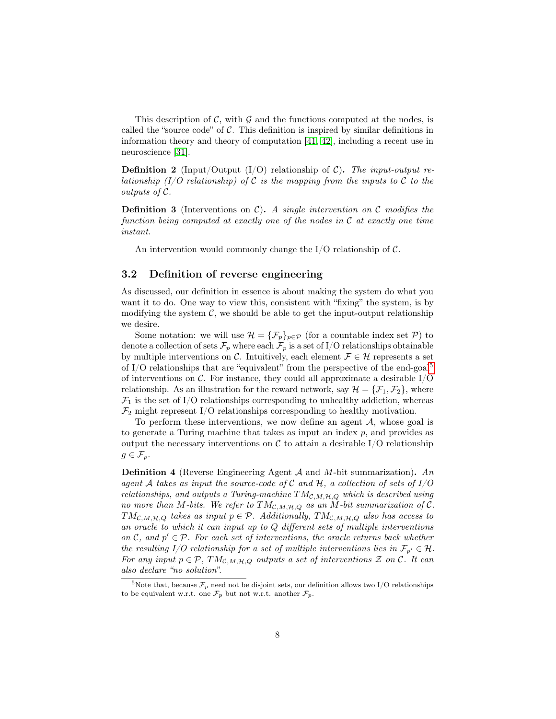This description of  $\mathcal{C}$ , with  $\mathcal{G}$  and the functions computed at the nodes, is called the "source code" of  $C$ . This definition is inspired by similar definitions in information theory and theory of computation [\[41,](#page-20-3) [42\]](#page-20-4), including a recent use in neuroscience [\[31\]](#page-19-6).

**Definition 2** (Input/Output (I/O) relationship of C). The input-output relationship (I/O relationship) of C is the mapping from the inputs to C to the outputs of C.

**Definition 3** (Interventions on  $C$ ). A single intervention on C modifies the function being computed at exactly one of the nodes in  $\mathcal C$  at exactly one time instant.

An intervention would commonly change the  $I/O$  relationship of  $C$ .

#### 3.2 Definition of reverse engineering

As discussed, our definition in essence is about making the system do what you want it to do. One way to view this, consistent with "fixing" the system, is by modifying the system  $C$ , we should be able to get the input-output relationship we desire.

Some notation: we will use  $\mathcal{H} = {\{\mathcal{F}_p\}}_{p \in \mathcal{P}}$  (for a countable index set  $\mathcal{P}$ ) to denote a collection of sets  $\mathcal{F}_p$  where each  $\mathcal{F}_p$  is a set of I/O relationships obtainable by multiple interventions on C. Intuitively, each element  $\mathcal{F} \in \mathcal{H}$  represents a set of I/O relationships that are "equivalent" from the perspective of the end-goal<sup>[5](#page-7-0)</sup> of interventions on  $\mathcal{C}$ . For instance, they could all approximate a desirable I/O relationship. As an illustration for the reward network, say  $\mathcal{H} = {\mathcal{F}_1, \mathcal{F}_2}$ , where  $\mathcal{F}_1$  is the set of I/O relationships corresponding to unhealthy addiction, whereas  $\mathcal{F}_2$  might represent I/O relationships corresponding to healthy motivation.

To perform these interventions, we now define an agent  $A$ , whose goal is to generate a Turing machine that takes as input an index  $p$ , and provides as output the necessary interventions on  $\mathcal C$  to attain a desirable I/O relationship  $g \in \mathcal{F}_p$ .

**Definition 4** (Reverse Engineering Agent  $A$  and  $M$ -bit summarization). An agent A takes as input the source-code of C and H, a collection of sets of  $I/O$ relationships, and outputs a Turing-machine  $TM_{\mathcal{C},M,H,Q}$  which is described using no more than M-bits. We refer to  $TM_{\mathcal{C},M,H,Q}$  as an M-bit summarization of  $\mathcal{C}.$  $TM_{\mathcal{C},M,H,Q}$  takes as input  $p \in \mathcal{P}$ . Additionally,  $TM_{\mathcal{C},M,H,Q}$  also has access to an oracle to which it can input up to Q different sets of multiple interventions on C, and  $p' \in \mathcal{P}$ . For each set of interventions, the oracle returns back whether the resulting I/O relationship for a set of multiple interventions lies in  $\mathcal{F}_{p'} \in \mathcal{H}$ . For any input  $p \in \mathcal{P}$ ,  $TM_{\mathcal{C},M,\mathcal{H},Q}$  outputs a set of interventions  $\mathcal Z$  on  $\mathcal C$ . It can also declare "no solution".

<span id="page-7-0"></span><sup>&</sup>lt;sup>5</sup>Note that, because  $\mathcal{F}_p$  need not be disjoint sets, our definition allows two I/O relationships to be equivalent w.r.t. one  $\mathcal{F}_p$  but not w.r.t. another  $\mathcal{F}_p$ .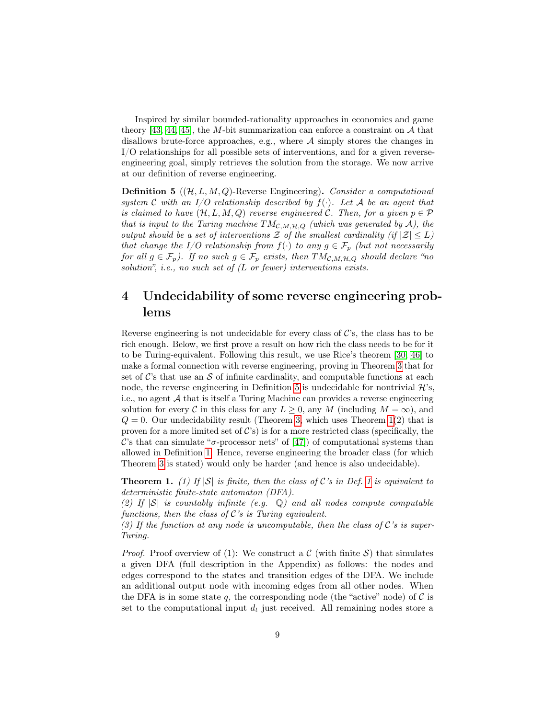Inspired by similar bounded-rationality approaches in economics and game theory [\[43,](#page-20-5) [44,](#page-20-6) [45\]](#page-20-7), the M-bit summarization can enforce a constraint on  $A$  that disallows brute-force approaches, e.g., where  $A$  simply stores the changes in I/O relationships for all possible sets of interventions, and for a given reverseengineering goal, simply retrieves the solution from the storage. We now arrive at our definition of reverse engineering.

<span id="page-8-1"></span>**Definition 5** ( $(\mathcal{H}, L, M, Q)$ -Reverse Engineering). Consider a computational system C with an I/O relationship described by  $f(\cdot)$ . Let A be an agent that is claimed to have  $(\mathcal{H}, L, M, Q)$  reverse engineered C. Then, for a given  $p \in \mathcal{P}$ that is input to the Turing machine  $TM_{\mathcal{C},M,H,Q}$  (which was generated by A), the output should be a set of interventions  $\mathcal Z$  of the smallest cardinality (if  $|\mathcal Z|\leq L$ ) that change the I/O relationship from  $f(\cdot)$  to any  $g \in \mathcal{F}_p$  (but not necessarily for all  $g \in \mathcal{F}_p$ ). If no such  $g \in \mathcal{F}_p$  exists, then  $TM_{\mathcal{C},M,H,Q}$  should declare "no solution", i.e., no such set of  $(L$  or fewer) interventions exists.

### <span id="page-8-0"></span>4 Undecidability of some reverse engineering problems

Reverse engineering is not undecidable for every class of  $\mathcal{C}$ 's, the class has to be rich enough. Below, we first prove a result on how rich the class needs to be for it to be Turing-equivalent. Following this result, we use Rice's theorem [\[30,](#page-19-5) [46\]](#page-20-8) to make a formal connection with reverse engineering, proving in Theorem [3](#page-10-1) that for set of  $\mathcal{C}$ 's that use an S of infinite cardinality, and computable functions at each node, the reverse engineering in Definition [5](#page-8-1) is undecidable for nontrivial  $\mathcal{H}$ 's, i.e., no agent A that is itself a Turing Machine can provides a reverse engineering solution for every C in this class for any  $L \geq 0$ , any M (including  $M = \infty$ ), and  $Q = 0$ . Our undecidability result (Theorem [3,](#page-10-1) which uses Theorem [1\(](#page-8-2)2) that is proven for a more limited set of  $\mathcal{C}$ 's) is for a more restricted class (specifically, the C's that can simulate " $\sigma$ -processor nets" of [\[47\]](#page-20-9)) of computational systems than allowed in Definition [1.](#page-6-0) Hence, reverse engineering the broader class (for which Theorem [3](#page-10-1) is stated) would only be harder (and hence is also undecidable).

<span id="page-8-2"></span>**Theorem [1](#page-6-0).** (1) If  $|S|$  is finite, then the class of C's in Def. 1 is equivalent to deterministic finite-state automaton (DFA).

(2) If  $|S|$  is countably infinite (e.g.  $\mathbb Q$ ) and all nodes compute computable functions, then the class of  $\mathcal{C}'s$  is Turing equivalent.

(3) If the function at any node is uncomputable, then the class of  $\mathcal{C}'s$  is super-Turing.

*Proof.* Proof overview of (1): We construct a  $\mathcal{C}$  (with finite  $\mathcal{S}$ ) that simulates a given DFA (full description in the Appendix) as follows: the nodes and edges correspond to the states and transition edges of the DFA. We include an additional output node with incoming edges from all other nodes. When the DFA is in some state q, the corresponding node (the "active" node) of  $\mathcal C$  is set to the computational input  $d_t$  just received. All remaining nodes store a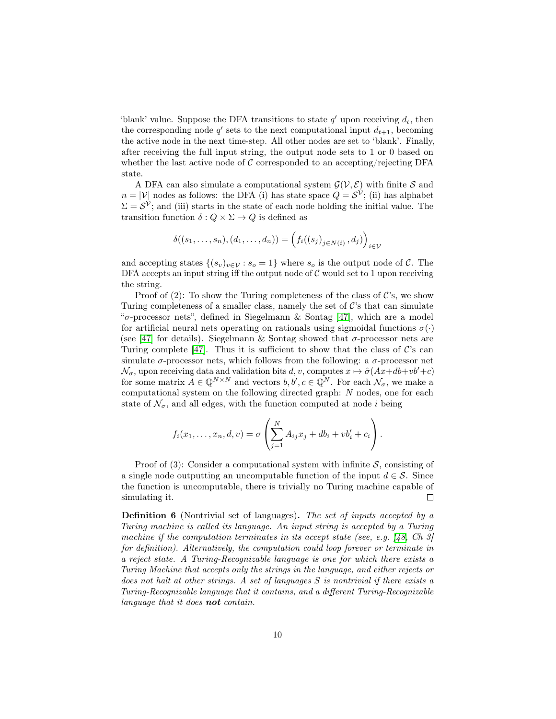'blank' value. Suppose the DFA transitions to state  $q'$  upon receiving  $d_t$ , then the corresponding node  $q'$  sets to the next computational input  $d_{t+1}$ , becoming the active node in the next time-step. All other nodes are set to 'blank'. Finally, after receiving the full input string, the output node sets to 1 or 0 based on whether the last active node of  $\mathcal C$  corresponded to an accepting/rejecting DFA state.

A DFA can also simulate a computational system  $\mathcal{G}(\mathcal{V}, \mathcal{E})$  with finite S and  $n = |\mathcal{V}|$  nodes as follows: the DFA (i) has state space  $Q = \mathcal{S}^{\mathcal{V}}$ ; (ii) has alphabet  $\Sigma = \mathcal{S}^{\mathcal{V}}$ ; and (iii) starts in the state of each node holding the initial value. The transition function  $\delta: Q \times \Sigma \to Q$  is defined as

$$
\delta((s_1,\ldots,s_n),(d_1,\ldots,d_n))=\left(f_i((s_j)_{j\in N(i)},d_j)\right)_{i\in V}
$$

and accepting states  $\{(s_v)_{v\in\mathcal{V}} : s_o = 1\}$  where  $s_o$  is the output node of C. The DFA accepts an input string iff the output node of  $C$  would set to 1 upon receiving the string.

Proof of  $(2)$ : To show the Turing completeness of the class of C's, we show Turing completeness of a smaller class, namely the set of  $\mathcal{C}$ 's that can simulate " $\sigma$ -processor nets", defined in Siegelmann & Sontag [\[47\]](#page-20-9), which are a model for artificial neural nets operating on rationals using sigmoidal functions  $\sigma(\cdot)$ (see [\[47\]](#page-20-9) for details). Siegelmann & Sontag showed that  $\sigma$ -processor nets are Turing complete [\[47\]](#page-20-9). Thus it is sufficient to show that the class of  $\mathcal{C}$ 's can simulate  $\sigma$ -processor nets, which follows from the following: a  $\sigma$ -processor net  $\mathcal{N}_{\sigma}$ , upon receiving data and validation bits  $d, v$ , computes  $x \mapsto \hat{\sigma}(Ax+db+vb'+c)$ for some matrix  $A \in \mathbb{Q}^{N \times N}$  and vectors  $b, b', c \in \mathbb{Q}^{N}$ . For each  $\mathcal{N}_{\sigma}$ , we make a computational system on the following directed graph: N nodes, one for each state of  $\mathcal{N}_{\sigma}$ , and all edges, with the function computed at node *i* being

$$
f_i(x_1,\ldots,x_n,d,v)=\sigma\left(\sum_{j=1}^N A_{ij}x_j+db_i+vb'_i+c_i\right).
$$

Proof of (3): Consider a computational system with infinite  $S$ , consisting of a single node outputting an uncomputable function of the input  $d \in \mathcal{S}$ . Since the function is uncomputable, there is trivially no Turing machine capable of simulating it.  $\Box$ 

Definition 6 (Nontrivial set of languages). The set of inputs accepted by a Turing machine is called its language. An input string is accepted by a Turing machine if the computation terminates in its accept state (see, e.g.  $[48, Ch, 3]$  $[48, Ch, 3]$ ) for definition). Alternatively, the computation could loop forever or terminate in a reject state. A Turing-Recognizable language is one for which there exists a Turing Machine that accepts only the strings in the language, and either rejects or does not halt at other strings. A set of languages  $S$  is nontrivial if there exists a Turing-Recognizable language that it contains, and a different Turing-Recognizable language that it does **not** contain.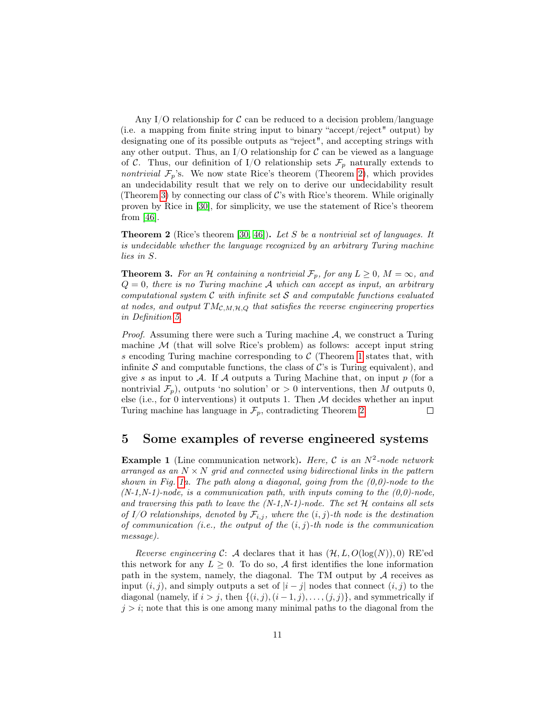Any I/O relationship for  $\mathcal C$  can be reduced to a decision problem/language (i.e. a mapping from finite string input to binary "accept/reject" output) by designating one of its possible outputs as "reject", and accepting strings with any other output. Thus, an I/O relationship for  $\mathcal C$  can be viewed as a language of C. Thus, our definition of I/O relationship sets  $\mathcal{F}_p$  naturally extends to *nontrivial*  $\mathcal{F}_p$ 's. We now state Rice's theorem (Theorem [2\)](#page-10-2), which provides an undecidability result that we rely on to derive our undecidability result (Theorem [3\)](#page-10-1) by connecting our class of  $\mathcal{C}$ 's with Rice's theorem. While originally proven by Rice in [\[30\]](#page-19-5), for simplicity, we use the statement of Rice's theorem from [\[46\]](#page-20-8).

<span id="page-10-2"></span>**Theorem 2** (Rice's theorem [\[30,](#page-19-5) [46\]](#page-20-8)). Let S be a nontrivial set of languages. It is undecidable whether the language recognized by an arbitrary Turing machine lies in S.

<span id="page-10-1"></span>**Theorem 3.** For an H containing a nontrivial  $\mathcal{F}_p$ , for any  $L \geq 0$ ,  $M = \infty$ , and  $Q = 0$ , there is no Turing machine A which can accept as input, an arbitrary computational system  $C$  with infinite set  $S$  and computable functions evaluated at nodes, and output  $TM_{\mathcal{C},M,H,Q}$  that satisfies the reverse engineering properties in Definition [5.](#page-8-1)

*Proof.* Assuming there were such a Turing machine  $A$ , we construct a Turing machine  $M$  (that will solve Rice's problem) as follows: accept input string s encoding Turing machine corresponding to  $\mathcal C$  (Theorem [1](#page-8-2) states that, with infinite S and computable functions, the class of  $\mathcal{C}$ 's is Turing equivalent), and give s as input to A. If A outputs a Turing Machine that, on input  $p$  (for a nontrivial  $\mathcal{F}_p$ ), outputs 'no solution' or  $> 0$  interventions, then M outputs 0, else (i.e., for 0 interventions) it outputs 1. Then  $M$  decides whether an input Turing machine has language in  $\mathcal{F}_p$ , contradicting Theorem [2.](#page-10-2)  $\Box$ 

### <span id="page-10-0"></span>5 Some examples of reverse engineered systems

**Example 1** (Line communication network). Here,  $C$  is an  $N^2$ -node network arranged as an  $N \times N$  grid and connected using bidirectional links in the pattern shown in Fig. [1a](#page-11-0). The path along a diagonal, going from the  $(0,0)$ -node to the  $(N-1,N-1)$ -node, is a communication path, with inputs coming to the  $(0,0)$ -node, and traversing this path to leave the  $(N-1,N-1)$ -node. The set  $H$  contains all sets of I/O relationships, denoted by  $\mathcal{F}_{i,j}$ , where the  $(i, j)$ -th node is the destination of communication (i.e., the output of the  $(i, j)$ -th node is the communication message).

Reverse engineering C: A declares that it has  $(\mathcal{H}, L, O(\log(N)), 0)$  RE'ed this network for any  $L \geq 0$ . To do so, A first identifies the lone information path in the system, namely, the diagonal. The TM output by  $A$  receives as input  $(i, j)$ , and simply outputs a set of  $|i - j|$  nodes that connect  $(i, j)$  to the diagonal (namely, if  $i > j$ , then  $\{(i, j), (i - 1, j), \ldots, (j, j)\}\$ , and symmetrically if  $j > i$ ; note that this is one among many minimal paths to the diagonal from the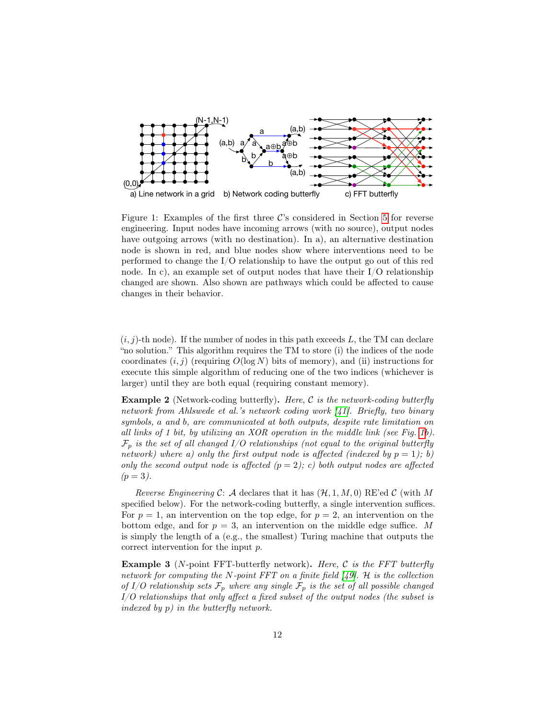

<span id="page-11-0"></span>Figure 1: Examples of the first three  $\mathcal{C}$ 's considered in Section [5](#page-10-0) for reverse engineering. Input nodes have incoming arrows (with no source), output nodes have outgoing arrows (with no destination). In a), an alternative destination node is shown in red, and blue nodes show where interventions need to be performed to change the I/O relationship to have the output go out of this red node. In c), an example set of output nodes that have their I/O relationship changed are shown. Also shown are pathways which could be affected to cause changes in their behavior.

 $(i, j)$ -th node). If the number of nodes in this path exceeds L, the TM can declare "no solution." This algorithm requires the TM to store (i) the indices of the node coordinates  $(i, j)$  (requiring  $O(\log N)$  bits of memory), and (ii) instructions for execute this simple algorithm of reducing one of the two indices (whichever is larger) until they are both equal (requiring constant memory).

**Example 2** (Network-coding butterfly). Here, C is the network-coding butterfly network from Ahlswede et al.'s network coding work [\[41\]](#page-20-3). Briefly, two binary symbols, a and b, are communicated at both outputs, despite rate limitation on all links of 1 bit, by utilizing an XOR operation in the middle link (see Fig. [1b](#page-11-0)).  $\mathcal{F}_p$  is the set of all changed I/O relationships (not equal to the original butterfly network) where a) only the first output node is affected (indexed by  $p = 1$ ); b) only the second output node is affected  $(p = 2)$ ; c) both output nodes are affected  $(p = 3)$ .

Reverse Engineering C: A declares that it has  $(\mathcal{H}, 1, M, 0)$  RE'ed C (with M specified below). For the network-coding butterfly, a single intervention suffices. For  $p = 1$ , an intervention on the top edge, for  $p = 2$ , an intervention on the bottom edge, and for  $p = 3$ , an intervention on the middle edge suffice. M is simply the length of a (e.g., the smallest) Turing machine that outputs the correct intervention for the input p.

**Example 3** (N-point FFT-butterfly network). Here,  $C$  is the FFT butterfly network for computing the N-point FFT on a finite field  $[49]$ . H is the collection of I/O relationship sets  $\mathcal{F}_p$  where any single  $\mathcal{F}_p$  is the set of all possible changed I/O relationships that only affect a fixed subset of the output nodes (the subset is indexed by p) in the butterfly network.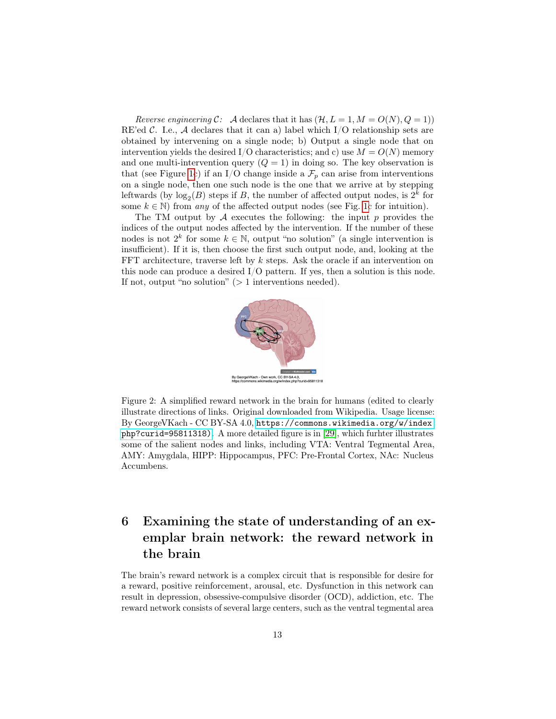Reverse engineering C: A declares that it has  $(\mathcal{H}, L = 1, M = O(N), Q = 1)$ RE'ed  $\mathcal{C}$ . I.e.,  $\mathcal{A}$  declares that it can a) label which I/O relationship sets are obtained by intervening on a single node; b) Output a single node that on intervention yields the desired I/O characteristics; and c) use  $M = O(N)$  memory and one multi-intervention query  $(Q = 1)$  in doing so. The key observation is that (see Figure [1c](#page-11-0)) if an I/O change inside a  $\mathcal{F}_p$  can arise from interventions on a single node, then one such node is the one that we arrive at by stepping leftwards (by  $log_2(B)$  steps if B, the number of affected output nodes, is  $2^k$  for some  $k \in \mathbb{N}$ ) from any of the affected output nodes (see Fig. [1c](#page-11-0) for intuition).

The TM output by  $A$  executes the following: the input p provides the indices of the output nodes affected by the intervention. If the number of these nodes is not  $2^k$  for some  $k \in \mathbb{N}$ , output "no solution" (a single intervention is insufficient). If it is, then choose the first such output node, and, looking at the FFT architecture, traverse left by k steps. Ask the oracle if an intervention on this node can produce a desired I/O pattern. If yes, then a solution is this node. If not, output "no solution" ( $> 1$  interventions needed).



<span id="page-12-1"></span>Figure 2: A simplified reward network in the brain for humans (edited to clearly illustrate directions of links. Original downloaded from Wikipedia. Usage license: By GeorgeVKach - CC BY-SA 4.0, [https://commons.wikimedia.org/w/index.](https://commons.wikimedia.org/w/index.php?curid=95811318)) [php?curid=95811318\)](https://commons.wikimedia.org/w/index.php?curid=95811318)). A more detailed figure is in [\[29\]](#page-19-4), which furhter illustrates some of the salient nodes and links, including VTA: Ventral Tegmental Area, AMY: Amygdala, HIPP: Hippocampus, PFC: Pre-Frontal Cortex, NAc: Nucleus Accumbens.

## <span id="page-12-0"></span>6 Examining the state of understanding of an exemplar brain network: the reward network in the brain

The brain's reward network is a complex circuit that is responsible for desire for a reward, positive reinforcement, arousal, etc. Dysfunction in this network can result in depression, obsessive-compulsive disorder (OCD), addiction, etc. The reward network consists of several large centers, such as the ventral tegmental area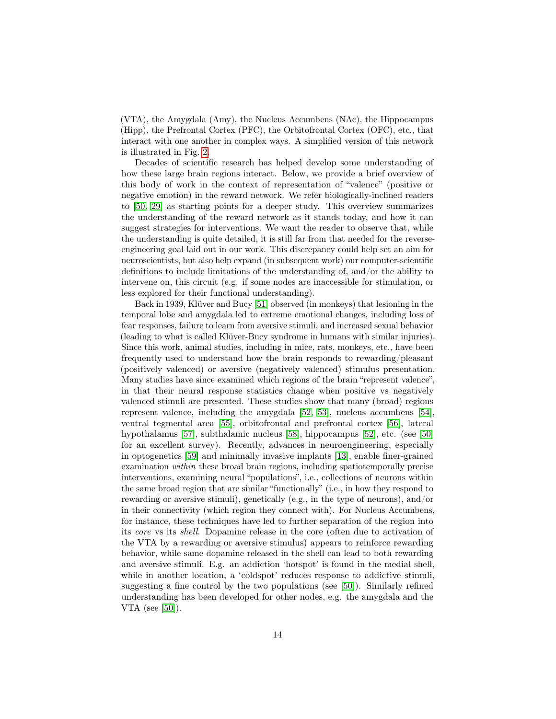(VTA), the Amygdala (Amy), the Nucleus Accumbens (NAc), the Hippocampus (Hipp), the Prefrontal Cortex (PFC), the Orbitofrontal Cortex (OFC), etc., that interact with one another in complex ways. A simplified version of this network is illustrated in Fig. [2.](#page-12-1)

Decades of scientific research has helped develop some understanding of how these large brain regions interact. Below, we provide a brief overview of this body of work in the context of representation of "valence" (positive or negative emotion) in the reward network. We refer biologically-inclined readers to [\[50,](#page-20-12) [29\]](#page-19-4) as starting points for a deeper study. This overview summarizes the understanding of the reward network as it stands today, and how it can suggest strategies for interventions. We want the reader to observe that, while the understanding is quite detailed, it is still far from that needed for the reverseengineering goal laid out in our work. This discrepancy could help set an aim for neuroscientists, but also help expand (in subsequent work) our computer-scientific definitions to include limitations of the understanding of, and/or the ability to intervene on, this circuit (e.g. if some nodes are inaccessible for stimulation, or less explored for their functional understanding).

Back in 1939, Klüver and Bucy [\[51\]](#page-20-13) observed (in monkeys) that lesioning in the temporal lobe and amygdala led to extreme emotional changes, including loss of fear responses, failure to learn from aversive stimuli, and increased sexual behavior (leading to what is called Klüver-Bucy syndrome in humans with similar injuries). Since this work, animal studies, including in mice, rats, monkeys, etc., have been frequently used to understand how the brain responds to rewarding/pleasant (positively valenced) or aversive (negatively valenced) stimulus presentation. Many studies have since examined which regions of the brain "represent valence", in that their neural response statistics change when positive vs negatively valenced stimuli are presented. These studies show that many (broad) regions represent valence, including the amygdala [\[52,](#page-20-14) [53\]](#page-20-15), nucleus accumbens [\[54\]](#page-21-0), ventral tegmental area [\[55\]](#page-21-1), orbitofrontal and prefrontal cortex [\[56\]](#page-21-2), lateral hypothalamus [\[57\]](#page-21-3), subthalamic nucleus [\[58\]](#page-21-4), hippocampus [\[52\]](#page-20-14), etc. (see [\[50\]](#page-20-12) for an excellent survey). Recently, advances in neuroengineering, especially in optogenetics [\[59\]](#page-21-5) and minimally invasive implants [\[13\]](#page-17-12), enable finer-grained examination within these broad brain regions, including spatiotemporally precise interventions, examining neural "populations", i.e., collections of neurons within the same broad region that are similar "functionally" (i.e., in how they respond to rewarding or aversive stimuli), genetically (e.g., in the type of neurons), and/or in their connectivity (which region they connect with). For Nucleus Accumbens, for instance, these techniques have led to further separation of the region into its core vs its shell. Dopamine release in the core (often due to activation of the VTA by a rewarding or aversive stimulus) appears to reinforce rewarding behavior, while same dopamine released in the shell can lead to both rewarding and aversive stimuli. E.g. an addiction 'hotspot' is found in the medial shell, while in another location, a 'coldspot' reduces response to addictive stimuli, suggesting a fine control by the two populations (see [\[50\]](#page-20-12)). Similarly refined understanding has been developed for other nodes, e.g. the amygdala and the VTA (see [\[50\]](#page-20-12)).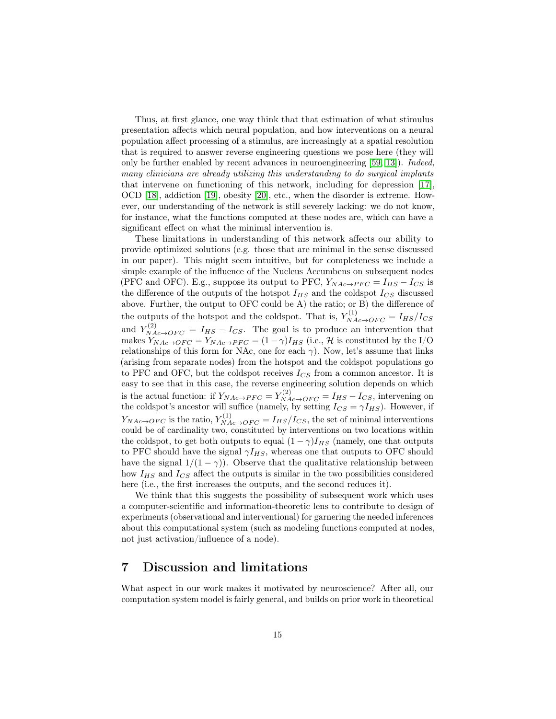Thus, at first glance, one way think that that estimation of what stimulus presentation affects which neural population, and how interventions on a neural population affect processing of a stimulus, are increasingly at a spatial resolution that is required to answer reverse engineering questions we pose here (they will only be further enabled by recent advances in neuroengineering [\[59,](#page-21-5) [13\]](#page-17-12)). Indeed, many clinicians are already utilizing this understanding to do surgical implants that intervene on functioning of this network, including for depression [\[17\]](#page-18-3), OCD [\[18\]](#page-18-4), addiction [\[19\]](#page-18-5), obesity [\[20\]](#page-18-6), etc., when the disorder is extreme. However, our understanding of the network is still severely lacking: we do not know, for instance, what the functions computed at these nodes are, which can have a significant effect on what the minimal intervention is.

These limitations in understanding of this network affects our ability to provide optimized solutions (e.g. those that are minimal in the sense discussed in our paper). This might seem intuitive, but for completeness we include a simple example of the influence of the Nucleus Accumbens on subsequent nodes (PFC and OFC). E.g., suppose its output to PFC,  $Y_{NAc\rightarrow PFC} = I_{HS} - I_{CS}$  is the difference of the outputs of the hotspot  $I_{HS}$  and the coldspot  $I_{CS}$  discussed above. Further, the output to OFC could be A) the ratio; or B) the difference of the outputs of the hotspot and the coldspot. That is,  $Y_{NAc\rightarrow OFC}^{(1)} = I_{HS}/I_{CS}$ and  $Y_{NAc \to OFC}^{(2)} = I_{HS} - I_{CS}$ . The goal is to produce an intervention that makes  $Y_{NAc\rightarrow OFC} = Y_{NAc\rightarrow PFC} = (1 - \gamma)I_{HS}$  (i.e., H is constituted by the I/O relationships of this form for NAc, one for each  $\gamma$ ). Now, let's assume that links (arising from separate nodes) from the hotspot and the coldspot populations go to PFC and OFC, but the coldspot receives  $I_{CS}$  from a common ancestor. It is easy to see that in this case, the reverse engineering solution depends on which is the actual function: if  $Y_{NAc\rightarrow PFC} = Y_{NAc\rightarrow OFC}^{(2)} = I_{HS} - I_{CS}$ , intervening on the coldspot's ancestor will suffice (namely, by setting  $I_{CS} = \gamma I_{HS}$ ). However, if  $Y_{NAc\rightarrow OFC}$  is the ratio,  $Y_{NAc\rightarrow OFC}^{(1)} = I_{HS}/I_{CS}$ , the set of minimal interventions could be of cardinality two, constituted by interventions on two locations within the coldspot, to get both outputs to equal  $(1 - \gamma)I_{HS}$  (namely, one that outputs to PFC should have the signal  $\gamma I_{HS}$ , whereas one that outputs to OFC should have the signal  $1/(1 - \gamma)$ . Observe that the qualitative relationship between how  $I_{HS}$  and  $I_{CS}$  affect the outputs is similar in the two possibilities considered here (i.e., the first increases the outputs, and the second reduces it).

We think that this suggests the possibility of subsequent work which uses a computer-scientific and information-theoretic lens to contribute to design of experiments (observational and interventional) for garnering the needed inferences about this computational system (such as modeling functions computed at nodes, not just activation/influence of a node).

### <span id="page-14-0"></span>7 Discussion and limitations

What aspect in our work makes it motivated by neuroscience? After all, our computation system model is fairly general, and builds on prior work in theoretical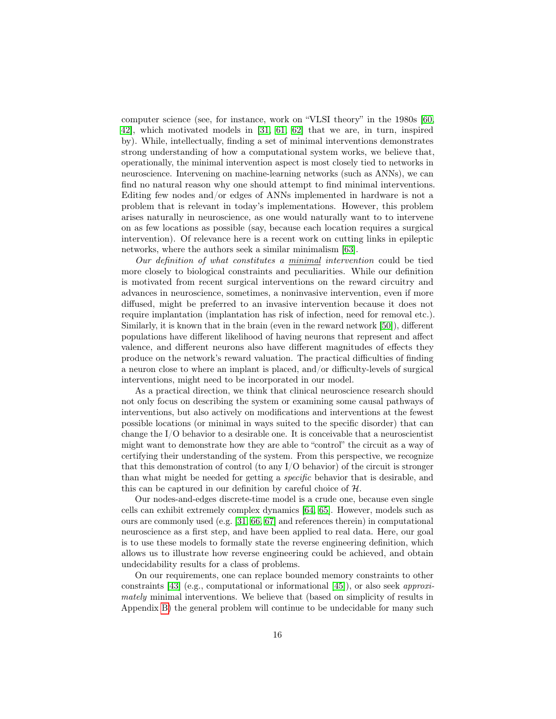computer science (see, for instance, work on "VLSI theory" in the 1980s [\[60,](#page-21-6) [42\]](#page-20-4), which motivated models in [\[31,](#page-19-6) [61,](#page-21-7) [62\]](#page-21-8) that we are, in turn, inspired by). While, intellectually, finding a set of minimal interventions demonstrates strong understanding of how a computational system works, we believe that, operationally, the minimal intervention aspect is most closely tied to networks in neuroscience. Intervening on machine-learning networks (such as ANNs), we can find no natural reason why one should attempt to find minimal interventions. Editing few nodes and/or edges of ANNs implemented in hardware is not a problem that is relevant in today's implementations. However, this problem arises naturally in neuroscience, as one would naturally want to to intervene on as few locations as possible (say, because each location requires a surgical intervention). Of relevance here is a recent work on cutting links in epileptic networks, where the authors seek a similar minimalism [\[63\]](#page-21-9).

Our definition of what constitutes a minimal intervention could be tied more closely to biological constraints and peculiarities. While our definition is motivated from recent surgical interventions on the reward circuitry and advances in neuroscience, sometimes, a noninvasive intervention, even if more diffused, might be preferred to an invasive intervention because it does not require implantation (implantation has risk of infection, need for removal etc.). Similarly, it is known that in the brain (even in the reward network [\[50\]](#page-20-12)), different populations have different likelihood of having neurons that represent and affect valence, and different neurons also have different magnitudes of effects they produce on the network's reward valuation. The practical difficulties of finding a neuron close to where an implant is placed, and/or difficulty-levels of surgical interventions, might need to be incorporated in our model.

As a practical direction, we think that clinical neuroscience research should not only focus on describing the system or examining some causal pathways of interventions, but also actively on modifications and interventions at the fewest possible locations (or minimal in ways suited to the specific disorder) that can change the I/O behavior to a desirable one. It is conceivable that a neuroscientist might want to demonstrate how they are able to "control" the circuit as a way of certifying their understanding of the system. From this perspective, we recognize that this demonstration of control (to any  $I/O$  behavior) of the circuit is stronger than what might be needed for getting a specific behavior that is desirable, and this can be captured in our definition by careful choice of H.

Our nodes-and-edges discrete-time model is a crude one, because even single cells can exhibit extremely complex dynamics [\[64,](#page-21-10) [65\]](#page-21-11). However, models such as ours are commonly used (e.g. [\[31,](#page-19-6) [66,](#page-22-0) [67\]](#page-22-1) and references therein) in computational neuroscience as a first step, and have been applied to real data. Here, our goal is to use these models to formally state the reverse engineering definition, which allows us to illustrate how reverse engineering could be achieved, and obtain undecidability results for a class of problems.

On our requirements, one can replace bounded memory constraints to other constraints [\[43\]](#page-20-5) (e.g., computational or informational [\[45\]](#page-20-7)), or also seek *approxi*mately minimal interventions. We believe that (based on simplicity of results in Appendix [B\)](#page-23-0) the general problem will continue to be undecidable for many such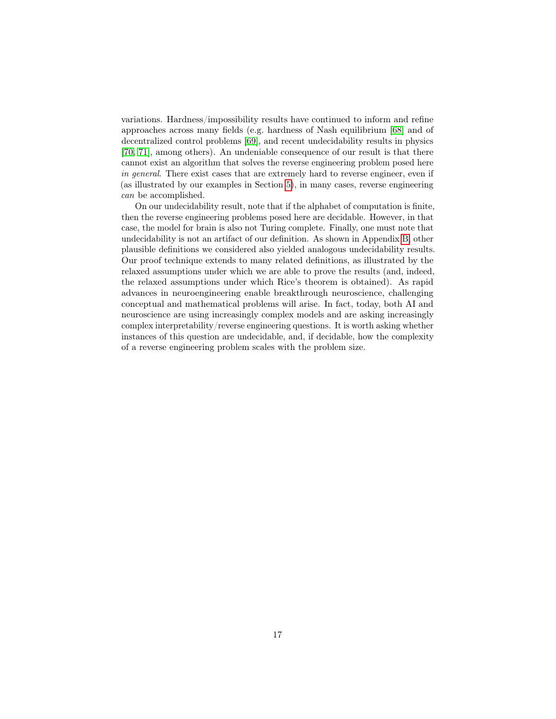variations. Hardness/impossibility results have continued to inform and refine approaches across many fields (e.g. hardness of Nash equilibrium [\[68\]](#page-22-2) and of decentralized control problems [\[69\]](#page-22-3), and recent undecidability results in physics [\[70,](#page-22-4) [71\]](#page-22-5), among others). An undeniable consequence of our result is that there cannot exist an algorithm that solves the reverse engineering problem posed here in general. There exist cases that are extremely hard to reverse engineer, even if (as illustrated by our examples in Section [5\)](#page-10-0), in many cases, reverse engineering can be accomplished.

On our undecidability result, note that if the alphabet of computation is finite, then the reverse engineering problems posed here are decidable. However, in that case, the model for brain is also not Turing complete. Finally, one must note that undecidability is not an artifact of our definition. As shown in Appendix [B,](#page-23-0) other plausible definitions we considered also yielded analogous undecidability results. Our proof technique extends to many related definitions, as illustrated by the relaxed assumptions under which we are able to prove the results (and, indeed, the relaxed assumptions under which Rice's theorem is obtained). As rapid advances in neuroengineering enable breakthrough neuroscience, challenging conceptual and mathematical problems will arise. In fact, today, both AI and neuroscience are using increasingly complex models and are asking increasingly complex interpretability/reverse engineering questions. It is worth asking whether instances of this question are undecidable, and, if decidable, how the complexity of a reverse engineering problem scales with the problem size.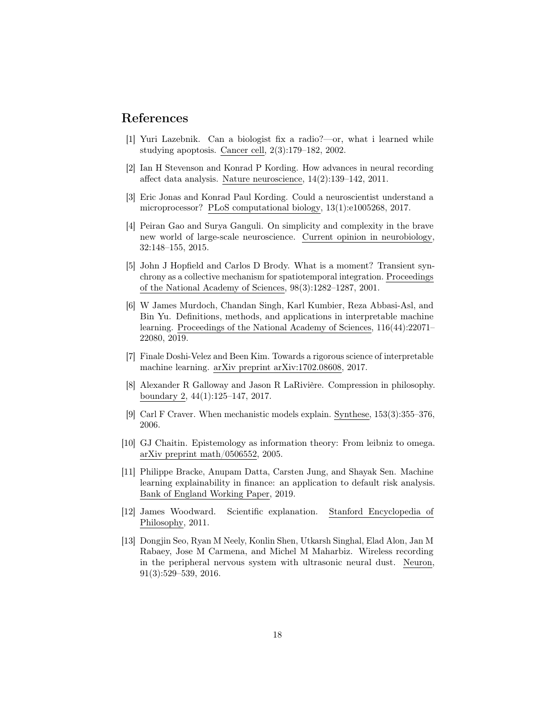### References

- <span id="page-17-0"></span>[1] Yuri Lazebnik. Can a biologist fix a radio?—or, what i learned while studying apoptosis. Cancer cell, 2(3):179–182, 2002.
- <span id="page-17-8"></span>[2] Ian H Stevenson and Konrad P Kording. How advances in neural recording affect data analysis. Nature neuroscience, 14(2):139–142, 2011.
- <span id="page-17-1"></span>[3] Eric Jonas and Konrad Paul Kording. Could a neuroscientist understand a microprocessor? PLoS computational biology, 13(1):e1005268, 2017.
- <span id="page-17-2"></span>[4] Peiran Gao and Surya Ganguli. On simplicity and complexity in the brave new world of large-scale neuroscience. Current opinion in neurobiology, 32:148–155, 2015.
- <span id="page-17-9"></span>[5] John J Hopfield and Carlos D Brody. What is a moment? Transient synchrony as a collective mechanism for spatiotemporal integration. Proceedings of the National Academy of Sciences, 98(3):1282–1287, 2001.
- <span id="page-17-3"></span>[6] W James Murdoch, Chandan Singh, Karl Kumbier, Reza Abbasi-Asl, and Bin Yu. Definitions, methods, and applications in interpretable machine learning. Proceedings of the National Academy of Sciences, 116(44):22071– 22080, 2019.
- <span id="page-17-4"></span>[7] Finale Doshi-Velez and Been Kim. Towards a rigorous science of interpretable machine learning. arXiv preprint arXiv:1702.08608, 2017.
- <span id="page-17-5"></span>[8] Alexander R Galloway and Jason R LaRivière. Compression in philosophy. boundary 2, 44(1):125–147, 2017.
- <span id="page-17-6"></span>[9] Carl F Craver. When mechanistic models explain. Synthese, 153(3):355–376, 2006.
- <span id="page-17-7"></span>[10] GJ Chaitin. Epistemology as information theory: From leibniz to omega. arXiv preprint math/0506552, 2005.
- <span id="page-17-10"></span>[11] Philippe Bracke, Anupam Datta, Carsten Jung, and Shayak Sen. Machine learning explainability in finance: an application to default risk analysis. Bank of England Working Paper, 2019.
- <span id="page-17-11"></span>[12] James Woodward. Scientific explanation. Stanford Encyclopedia of Philosophy, 2011.
- <span id="page-17-12"></span>[13] Dongjin Seo, Ryan M Neely, Konlin Shen, Utkarsh Singhal, Elad Alon, Jan M Rabaey, Jose M Carmena, and Michel M Maharbiz. Wireless recording in the peripheral nervous system with ultrasonic neural dust. Neuron, 91(3):529–539, 2016.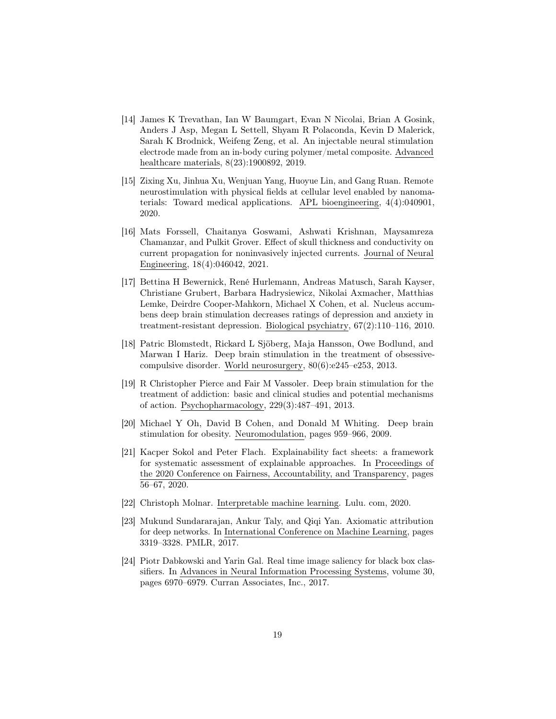- <span id="page-18-0"></span>[14] James K Trevathan, Ian W Baumgart, Evan N Nicolai, Brian A Gosink, Anders J Asp, Megan L Settell, Shyam R Polaconda, Kevin D Malerick, Sarah K Brodnick, Weifeng Zeng, et al. An injectable neural stimulation electrode made from an in-body curing polymer/metal composite. Advanced healthcare materials, 8(23):1900892, 2019.
- <span id="page-18-1"></span>[15] Zixing Xu, Jinhua Xu, Wenjuan Yang, Huoyue Lin, and Gang Ruan. Remote neurostimulation with physical fields at cellular level enabled by nanomaterials: Toward medical applications. APL bioengineering, 4(4):040901, 2020.
- <span id="page-18-2"></span>[16] Mats Forssell, Chaitanya Goswami, Ashwati Krishnan, Maysamreza Chamanzar, and Pulkit Grover. Effect of skull thickness and conductivity on current propagation for noninvasively injected currents. Journal of Neural Engineering, 18(4):046042, 2021.
- <span id="page-18-3"></span>[17] Bettina H Bewernick, René Hurlemann, Andreas Matusch, Sarah Kayser, Christiane Grubert, Barbara Hadrysiewicz, Nikolai Axmacher, Matthias Lemke, Deirdre Cooper-Mahkorn, Michael X Cohen, et al. Nucleus accumbens deep brain stimulation decreases ratings of depression and anxiety in treatment-resistant depression. Biological psychiatry, 67(2):110–116, 2010.
- <span id="page-18-4"></span>[18] Patric Blomstedt, Rickard L Sjöberg, Maja Hansson, Owe Bodlund, and Marwan I Hariz. Deep brain stimulation in the treatment of obsessivecompulsive disorder. World neurosurgery, 80(6):e245–e253, 2013.
- <span id="page-18-5"></span>[19] R Christopher Pierce and Fair M Vassoler. Deep brain stimulation for the treatment of addiction: basic and clinical studies and potential mechanisms of action. Psychopharmacology, 229(3):487–491, 2013.
- <span id="page-18-6"></span>[20] Michael Y Oh, David B Cohen, and Donald M Whiting. Deep brain stimulation for obesity. Neuromodulation, pages 959–966, 2009.
- <span id="page-18-7"></span>[21] Kacper Sokol and Peter Flach. Explainability fact sheets: a framework for systematic assessment of explainable approaches. In Proceedings of the 2020 Conference on Fairness, Accountability, and Transparency, pages 56–67, 2020.
- <span id="page-18-8"></span>[22] Christoph Molnar. Interpretable machine learning. Lulu. com, 2020.
- <span id="page-18-9"></span>[23] Mukund Sundararajan, Ankur Taly, and Qiqi Yan. Axiomatic attribution for deep networks. In International Conference on Machine Learning, pages 3319–3328. PMLR, 2017.
- <span id="page-18-10"></span>[24] Piotr Dabkowski and Yarin Gal. Real time image saliency for black box classifiers. In Advances in Neural Information Processing Systems, volume 30, pages 6970–6979. Curran Associates, Inc., 2017.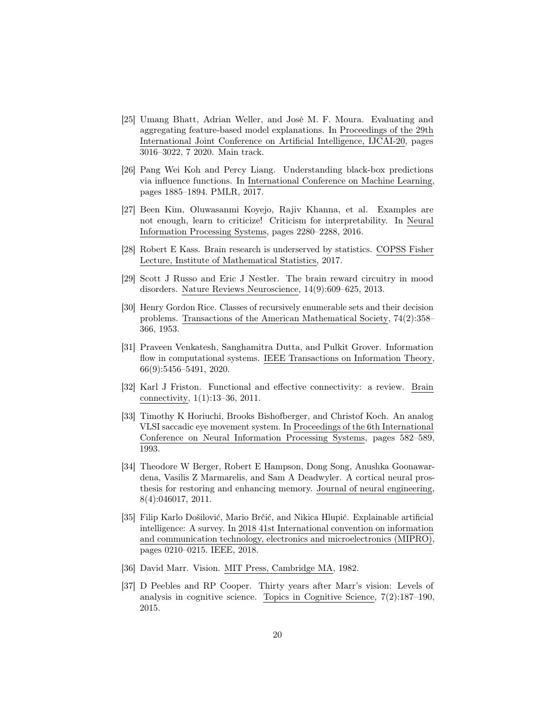- <span id="page-19-0"></span>[25] Umang Bhatt, Adrian Weller, and José M. F. Moura. Evaluating and aggregating feature-based model explanations. In Proceedings of the 29th International Joint Conference on Artificial Intelligence, IJCAI-20, pages 3016–3022, 7 2020. Main track.
- <span id="page-19-1"></span>[26] Pang Wei Koh and Percy Liang. Understanding black-box predictions via influence functions. In International Conference on Machine Learning, pages 1885–1894. PMLR, 2017.
- <span id="page-19-2"></span>[27] Been Kim, Oluwasanmi Koyejo, Rajiv Khanna, et al. Examples are not enough, learn to criticize! Criticism for interpretability. In Neural Information Processing Systems, pages 2280–2288, 2016.
- <span id="page-19-3"></span>[28] Robert E Kass. Brain research is underserved by statistics. COPSS Fisher Lecture, Institute of Mathematical Statistics, 2017.
- <span id="page-19-4"></span>[29] Scott J Russo and Eric J Nestler. The brain reward circuitry in mood disorders. Nature Reviews Neuroscience, 14(9):609–625, 2013.
- <span id="page-19-5"></span>[30] Henry Gordon Rice. Classes of recursively enumerable sets and their decision problems. Transactions of the American Mathematical Society, 74(2):358– 366, 1953.
- <span id="page-19-6"></span>[31] Praveen Venkatesh, Sanghamitra Dutta, and Pulkit Grover. Information flow in computational systems. IEEE Transactions on Information Theory, 66(9):5456–5491, 2020.
- <span id="page-19-7"></span>[32] Karl J Friston. Functional and effective connectivity: a review. Brain connectivity, 1(1):13–36, 2011.
- <span id="page-19-8"></span>[33] Timothy K Horiuchi, Brooks Bishofberger, and Christof Koch. An analog VLSI saccadic eye movement system. In Proceedings of the 6th International Conference on Neural Information Processing Systems, pages 582–589, 1993.
- <span id="page-19-9"></span>[34] Theodore W Berger, Robert E Hampson, Dong Song, Anushka Goonawardena, Vasilis Z Marmarelis, and Sam A Deadwyler. A cortical neural prosthesis for restoring and enhancing memory. Journal of neural engineering, 8(4):046017, 2011.
- <span id="page-19-10"></span>[35] Filip Karlo Došilović, Mario Brčić, and Nikica Hlupić. Explainable artificial intelligence: A survey. In 2018 41st International convention on information and communication technology, electronics and microelectronics (MIPRO), pages 0210–0215. IEEE, 2018.
- <span id="page-19-11"></span>[36] David Marr. Vision. MIT Press, Cambridge MA, 1982.
- <span id="page-19-12"></span>[37] D Peebles and RP Cooper. Thirty years after Marr's vision: Levels of analysis in cognitive science. Topics in Cognitive Science, 7(2):187–190, 2015.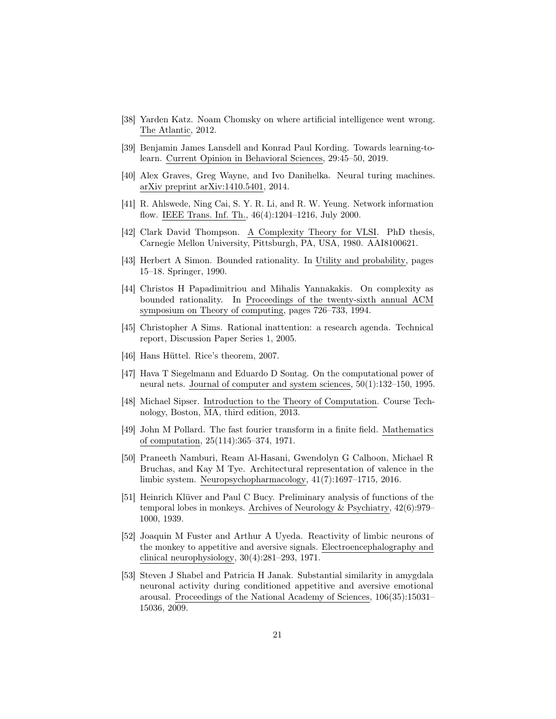- <span id="page-20-1"></span>[38] Yarden Katz. Noam Chomsky on where artificial intelligence went wrong. The Atlantic, 2012.
- <span id="page-20-0"></span>[39] Benjamin James Lansdell and Konrad Paul Kording. Towards learning-tolearn. Current Opinion in Behavioral Sciences, 29:45–50, 2019.
- <span id="page-20-2"></span>[40] Alex Graves, Greg Wayne, and Ivo Danihelka. Neural turing machines. arXiv preprint arXiv:1410.5401, 2014.
- <span id="page-20-3"></span>[41] R. Ahlswede, Ning Cai, S. Y. R. Li, and R. W. Yeung. Network information flow. IEEE Trans. Inf. Th., 46(4):1204–1216, July 2000.
- <span id="page-20-4"></span>[42] Clark David Thompson. A Complexity Theory for VLSI. PhD thesis, Carnegie Mellon University, Pittsburgh, PA, USA, 1980. AAI8100621.
- <span id="page-20-5"></span>[43] Herbert A Simon. Bounded rationality. In Utility and probability, pages 15–18. Springer, 1990.
- <span id="page-20-6"></span>[44] Christos H Papadimitriou and Mihalis Yannakakis. On complexity as bounded rationality. In Proceedings of the twenty-sixth annual ACM symposium on Theory of computing, pages 726–733, 1994.
- <span id="page-20-7"></span>[45] Christopher A Sims. Rational inattention: a research agenda. Technical report, Discussion Paper Series 1, 2005.
- <span id="page-20-8"></span>[46] Hans Hüttel. Rice's theorem, 2007.
- <span id="page-20-9"></span>[47] Hava T Siegelmann and Eduardo D Sontag. On the computational power of neural nets. Journal of computer and system sciences, 50(1):132–150, 1995.
- <span id="page-20-10"></span>[48] Michael Sipser. Introduction to the Theory of Computation. Course Technology, Boston, MA, third edition, 2013.
- <span id="page-20-11"></span>[49] John M Pollard. The fast fourier transform in a finite field. Mathematics of computation, 25(114):365–374, 1971.
- <span id="page-20-12"></span>[50] Praneeth Namburi, Ream Al-Hasani, Gwendolyn G Calhoon, Michael R Bruchas, and Kay M Tye. Architectural representation of valence in the limbic system. Neuropsychopharmacology, 41(7):1697–1715, 2016.
- <span id="page-20-13"></span>[51] Heinrich Klüver and Paul C Bucy. Preliminary analysis of functions of the temporal lobes in monkeys. Archives of Neurology & Psychiatry, 42(6):979– 1000, 1939.
- <span id="page-20-14"></span>[52] Joaquin M Fuster and Arthur A Uyeda. Reactivity of limbic neurons of the monkey to appetitive and aversive signals. Electroencephalography and clinical neurophysiology, 30(4):281–293, 1971.
- <span id="page-20-15"></span>[53] Steven J Shabel and Patricia H Janak. Substantial similarity in amygdala neuronal activity during conditioned appetitive and aversive emotional arousal. Proceedings of the National Academy of Sciences, 106(35):15031– 15036, 2009.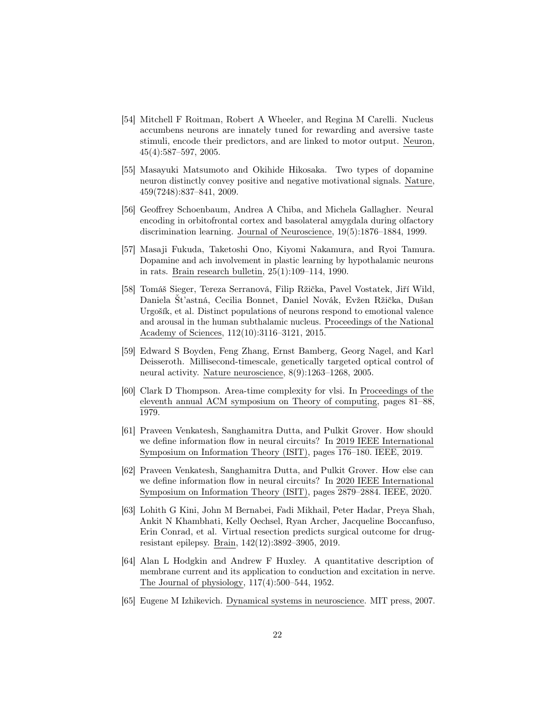- <span id="page-21-0"></span>[54] Mitchell F Roitman, Robert A Wheeler, and Regina M Carelli. Nucleus accumbens neurons are innately tuned for rewarding and aversive taste stimuli, encode their predictors, and are linked to motor output. Neuron, 45(4):587–597, 2005.
- <span id="page-21-1"></span>[55] Masayuki Matsumoto and Okihide Hikosaka. Two types of dopamine neuron distinctly convey positive and negative motivational signals. Nature, 459(7248):837–841, 2009.
- <span id="page-21-2"></span>[56] Geoffrey Schoenbaum, Andrea A Chiba, and Michela Gallagher. Neural encoding in orbitofrontal cortex and basolateral amygdala during olfactory discrimination learning. Journal of Neuroscience, 19(5):1876–1884, 1999.
- <span id="page-21-3"></span>[57] Masaji Fukuda, Taketoshi Ono, Kiyomi Nakamura, and Ryoi Tamura. Dopamine and ach involvement in plastic learning by hypothalamic neurons in rats. Brain research bulletin, 25(1):109–114, 1990.
- <span id="page-21-4"></span>[58] Tomáš Sieger, Tereza Serranová, Filip Ržička, Pavel Vostatek, Jiří Wild, Daniela Št'astná, Cecilia Bonnet, Daniel Novák, Evžen Ržička, Dušan Urgošík, et al. Distinct populations of neurons respond to emotional valence and arousal in the human subthalamic nucleus. Proceedings of the National Academy of Sciences, 112(10):3116–3121, 2015.
- <span id="page-21-5"></span>[59] Edward S Boyden, Feng Zhang, Ernst Bamberg, Georg Nagel, and Karl Deisseroth. Millisecond-timescale, genetically targeted optical control of neural activity. Nature neuroscience, 8(9):1263–1268, 2005.
- <span id="page-21-6"></span>[60] Clark D Thompson. Area-time complexity for vlsi. In Proceedings of the eleventh annual ACM symposium on Theory of computing, pages 81–88, 1979.
- <span id="page-21-7"></span>[61] Praveen Venkatesh, Sanghamitra Dutta, and Pulkit Grover. How should we define information flow in neural circuits? In 2019 IEEE International Symposium on Information Theory (ISIT), pages 176–180. IEEE, 2019.
- <span id="page-21-8"></span>[62] Praveen Venkatesh, Sanghamitra Dutta, and Pulkit Grover. How else can we define information flow in neural circuits? In 2020 IEEE International Symposium on Information Theory (ISIT), pages 2879–2884. IEEE, 2020.
- <span id="page-21-9"></span>[63] Lohith G Kini, John M Bernabei, Fadi Mikhail, Peter Hadar, Preya Shah, Ankit N Khambhati, Kelly Oechsel, Ryan Archer, Jacqueline Boccanfuso, Erin Conrad, et al. Virtual resection predicts surgical outcome for drugresistant epilepsy. Brain, 142(12):3892–3905, 2019.
- <span id="page-21-10"></span>[64] Alan L Hodgkin and Andrew F Huxley. A quantitative description of membrane current and its application to conduction and excitation in nerve. The Journal of physiology, 117(4):500–544, 1952.
- <span id="page-21-11"></span>[65] Eugene M Izhikevich. Dynamical systems in neuroscience. MIT press, 2007.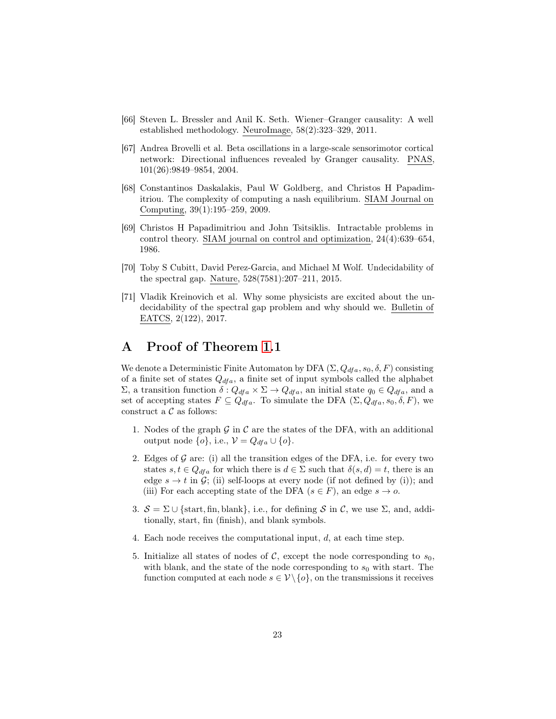- <span id="page-22-0"></span>[66] Steven L. Bressler and Anil K. Seth. Wiener–Granger causality: A well established methodology. NeuroImage, 58(2):323–329, 2011.
- <span id="page-22-1"></span>[67] Andrea Brovelli et al. Beta oscillations in a large-scale sensorimotor cortical network: Directional influences revealed by Granger causality. PNAS, 101(26):9849–9854, 2004.
- <span id="page-22-2"></span>[68] Constantinos Daskalakis, Paul W Goldberg, and Christos H Papadimitriou. The complexity of computing a nash equilibrium. SIAM Journal on Computing, 39(1):195–259, 2009.
- <span id="page-22-3"></span>[69] Christos H Papadimitriou and John Tsitsiklis. Intractable problems in control theory. SIAM journal on control and optimization, 24(4):639–654, 1986.
- <span id="page-22-4"></span>[70] Toby S Cubitt, David Perez-Garcia, and Michael M Wolf. Undecidability of the spectral gap. Nature, 528(7581):207–211, 2015.
- <span id="page-22-5"></span>[71] Vladik Kreinovich et al. Why some physicists are excited about the undecidability of the spectral gap problem and why should we. Bulletin of EATCS, 2(122), 2017.

### A Proof of Theorem [1.](#page-8-2)1

We denote a Deterministic Finite Automaton by DFA  $(\Sigma, Q_{dfa}, s_0, \delta, F)$  consisting of a finite set of states  $Q_{dfa}$ , a finite set of input symbols called the alphabet  $Σ$ , a transition function  $δ: Q<sub>dfa</sub> × Σ → Q<sub>dfa</sub>$ , an initial state  $q<sub>0</sub> ∈ Q<sub>dfa</sub>$ , and a set of accepting states  $F \subseteq Q_{dfa}$ . To simulate the DFA  $(\Sigma, Q_{dfa}, s_0, \delta, F)$ , we construct a  $\mathcal C$  as follows:

- 1. Nodes of the graph  $G$  in  $C$  are the states of the DFA, with an additional output node  $\{o\}$ , i.e.,  $\mathcal{V} = Q_{dfa} \cup \{o\}$ .
- 2. Edges of  $G$  are: (i) all the transition edges of the DFA, i.e. for every two states  $s, t \in Q_{dfa}$  for which there is  $d \in \Sigma$  such that  $\delta(s, d) = t$ , there is an edge  $s \to t$  in G; (ii) self-loops at every node (if not defined by (i)); and (iii) For each accepting state of the DFA ( $s \in F$ ), an edge  $s \to o$ .
- 3.  $S = \Sigma \cup \{\text{start}, \text{fin}, \text{blank}\},$  i.e., for defining S in C, we use  $\Sigma$ , and, additionally, start, fin (finish), and blank symbols.
- 4. Each node receives the computational input,  $d$ , at each time step.
- 5. Initialize all states of nodes of C, except the node corresponding to  $s_0$ , with blank, and the state of the node corresponding to  $s_0$  with start. The function computed at each node  $s \in V \setminus \{o\}$ , on the transmissions it receives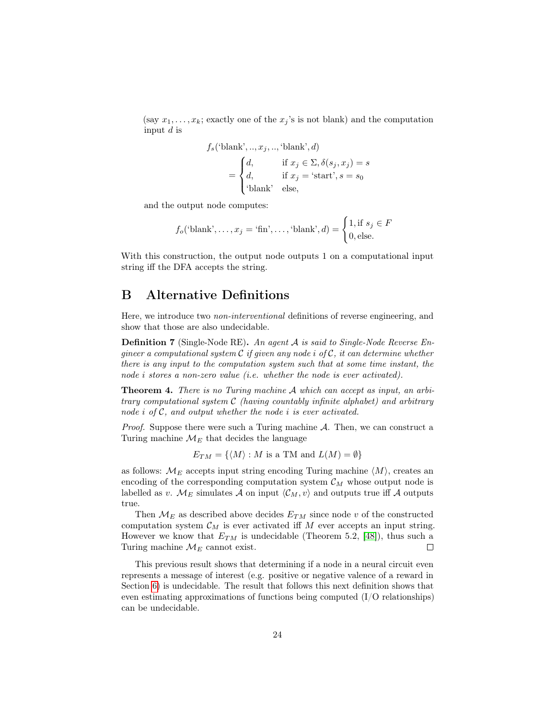(say  $x_1, \ldots, x_k$ ; exactly one of the  $x_j$ 's is not blank) and the computation input  $d$  is

$$
f_s(\text{'blank'}, ..., x_j, ..., \text{'blank'}, d)
$$
  
= 
$$
\begin{cases} d, & \text{if } x_j \in \Sigma, \delta(s_j, x_j) = s \\ d, & \text{if } x_j = \text{`start'}, s = s_0 \\ \text{'blank' else,} \end{cases}
$$

and the output node computes:

$$
f_o(\text{'blank'}, \dots, x_j = \text{`fin'}, \dots, \text{`blank'}, d) = \begin{cases} 1, \text{if } s_j \in F \\ 0, \text{else.} \end{cases}
$$

With this construction, the output node outputs 1 on a computational input string iff the DFA accepts the string.

### <span id="page-23-0"></span>B Alternative Definitions

Here, we introduce two non-interventional definitions of reverse engineering, and show that those are also undecidable.

**Definition 7** (Single-Node RE). An agent A is said to Single-Node Reverse Engineer a computational system  $\mathcal C$  if given any node i of  $\mathcal C$ , it can determine whether there is any input to the computation system such that at some time instant, the node *i* stores a non-zero value (*i.e.* whether the node is ever activated).

Theorem 4. There is no Turing machine A which can accept as input, an arbitrary computational system C (having countably infinite alphabet) and arbitrary node *i* of C, and output whether the node *i* is ever activated.

*Proof.* Suppose there were such a Turing machine  $A$ . Then, we can construct a Turing machine  $\mathcal{M}_E$  that decides the language

 $E_{TM} = \{ \langle M \rangle : M \text{ is a TM and } L(M) = \emptyset \}$ 

as follows:  $M_E$  accepts input string encoding Turing machine  $\langle M \rangle$ , creates an encoding of the corresponding computation system  $\mathcal{C}_M$  whose output node is labelled as v.  $\mathcal{M}_E$  simulates A on input  $\langle \mathcal{C}_M, v \rangle$  and outputs true iff A outputs true.

Then  $\mathcal{M}_E$  as described above decides  $E_{TM}$  since node v of the constructed computation system  $\mathcal{C}_M$  is ever activated iff M ever accepts an input string. However we know that  $E_{TM}$  is undecidable (Theorem 5.2, [\[48\]](#page-20-10)), thus such a Turing machine  $\mathcal{M}_E$  cannot exist.  $\Box$ 

This previous result shows that determining if a node in a neural circuit even represents a message of interest (e.g. positive or negative valence of a reward in Section [6\)](#page-12-0) is undecidable. The result that follows this next definition shows that even estimating approximations of functions being computed (I/O relationships) can be undecidable.